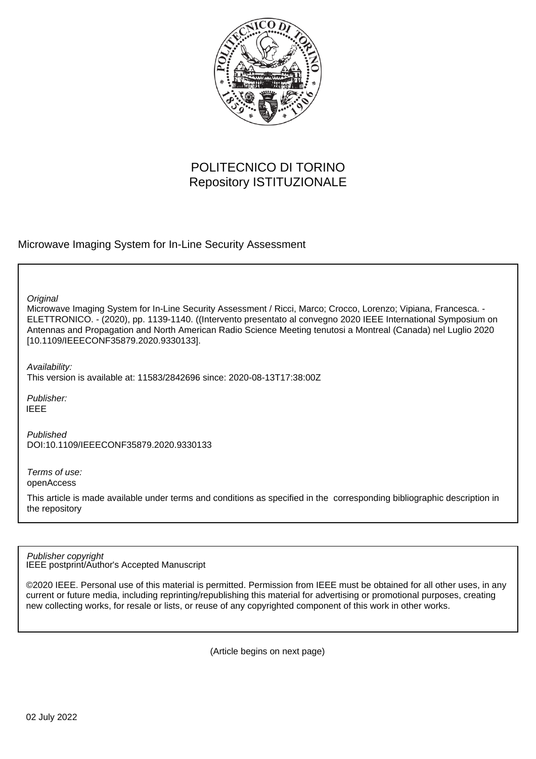

## POLITECNICO DI TORINO Repository ISTITUZIONALE

### Microwave Imaging System for In-Line Security Assessment

**Original** 

Microwave Imaging System for In-Line Security Assessment / Ricci, Marco; Crocco, Lorenzo; Vipiana, Francesca. - ELETTRONICO. - (2020), pp. 1139-1140. ((Intervento presentato al convegno 2020 IEEE International Symposium on Antennas and Propagation and North American Radio Science Meeting tenutosi a Montreal (Canada) nel Luglio 2020 [10.1109/IEEECONF35879.2020.9330133].

Availability:

This version is available at: 11583/2842696 since: 2020-08-13T17:38:00Z

Publisher: IEEE

Published DOI:10.1109/IEEECONF35879.2020.9330133

Terms of use: openAccess

This article is made available under terms and conditions as specified in the corresponding bibliographic description in the repository

IEEE postprint/Author's Accepted Manuscript Publisher copyright

©2020 IEEE. Personal use of this material is permitted. Permission from IEEE must be obtained for all other uses, in any current or future media, including reprinting/republishing this material for advertising or promotional purposes, creating new collecting works, for resale or lists, or reuse of any copyrighted component of this work in other works.

(Article begins on next page)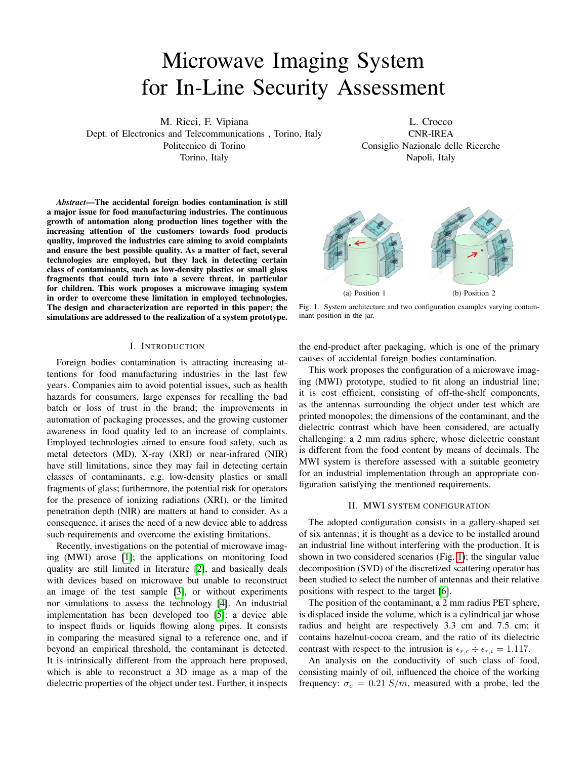# Microwave Imaging System for In-Line Security Assessment

M. Ricci, F. Vipiana

Dept. of Electronics and Telecommunications , Torino, Italy Politecnico di Torino Torino, Italy

L. Crocco CNR-IREA Consiglio Nazionale delle Ricerche Napoli, Italy

*Abstract*—The accidental foreign bodies contamination is still a major issue for food manufacturing industries. The continuous growth of automation along production lines together with the increasing attention of the customers towards food products quality, improved the industries care aiming to avoid complaints and ensure the best possible quality. As a matter of fact, several technologies are employed, but they lack in detecting certain class of contaminants, such as low-density plastics or small glass fragments that could turn into a severe threat, in particular for children. This work proposes a microwave imaging system in order to overcome these limitation in employed technologies. The design and characterization are reported in this paper; the simulations are addressed to the realization of a system prototype.

#### I. INTRODUCTION

Foreign bodies contamination is attracting increasing attentions for food manufacturing industries in the last few years. Companies aim to avoid potential issues, such as health hazards for consumers, large expenses for recalling the bad batch or loss of trust in the brand; the improvements in automation of packaging processes, and the growing customer awareness in food quality led to an increase of complaints. Employed technologies aimed to ensure food safety, such as metal detectors (MD), X-ray (XRI) or near-infrared (NIR) have still limitations, since they may fail in detecting certain classes of contaminants, e.g. low-density plastics or small fragments of glass; furthermore, the potential risk for operators for the presence of ionizing radiations (XRI), or the limited penetration depth (NIR) are matters at hand to consider. As a consequence, it arises the need of a new device able to address such requirements and overcome the existing limitations.

Recently, investigations on the potential of microwave imaging (MWI) arose [1]; the applications on monitoring food quality are still limited in literature [2], and basically deals with devices based on microwave but unable to reconstruct an image of the test sample [3], or without experiments nor simulations to assess the technology [4]. An industrial implementation has been developed too [5]: a device able to inspect fluids or liquids flowing along pipes. It consists in comparing the measured signal to a reference one, and if beyond an empirical threshold, the contaminant is detected. It is intrinsically different from the approach here proposed, which is able to reconstruct a 3D image as a map of the dielectric properties of the object under test. Further, it inspects

the end-product after packaging, which is one of the primary causes of accidental foreign bodies contamination.

Fig. 1. System architecture and two configuration examples varying contam-

inant position in the jar.

This work proposes the configuration of a microwave imaging (MWI) prototype, studied to fit along an industrial line; it is cost efficient, consisting of off-the-shelf components, as the antennas surrounding the object under test which are printed monopoles; the dimensions of the contaminant, and the dielectric contrast which have been considered, are actually challenging: a 2 mm radius sphere, whose dielectric constant is different from the food content by means of decimals. The MWI system is therefore assessed with a suitable geometry for an industrial implementation through an appropriate configuration satisfying the mentioned requirements.

#### II. MWI SYSTEM CONFIGURATION

The adopted configuration consists in a gallery-shaped set of six antennas; it is thought as a device to be installed around an industrial line without interfering with the production. It is shown in two considered scenarios (Fig. 1); the singular value decomposition (SVD) of the discretized scattering operator has been studied to select the number of antennas and their relative positions with respect to the target [6].

The position of the contaminant, a 2 mm radius PET sphere, is displaced inside the volume, which is a cylindrical jar whose radius and height are respectively 3.3 cm and 7.5 cm; it contains hazelnut-cocoa cream, and the ratio of its dielectric contrast with respect to the intrusion is  $\epsilon_{r,c} \div \epsilon_{r,i} = 1.117$ .

An analysis on the conductivity of such class of food, consisting mainly of oil, influenced the choice of the working frequency:  $\sigma_c = 0.21$  S/m, measured with a probe, led the